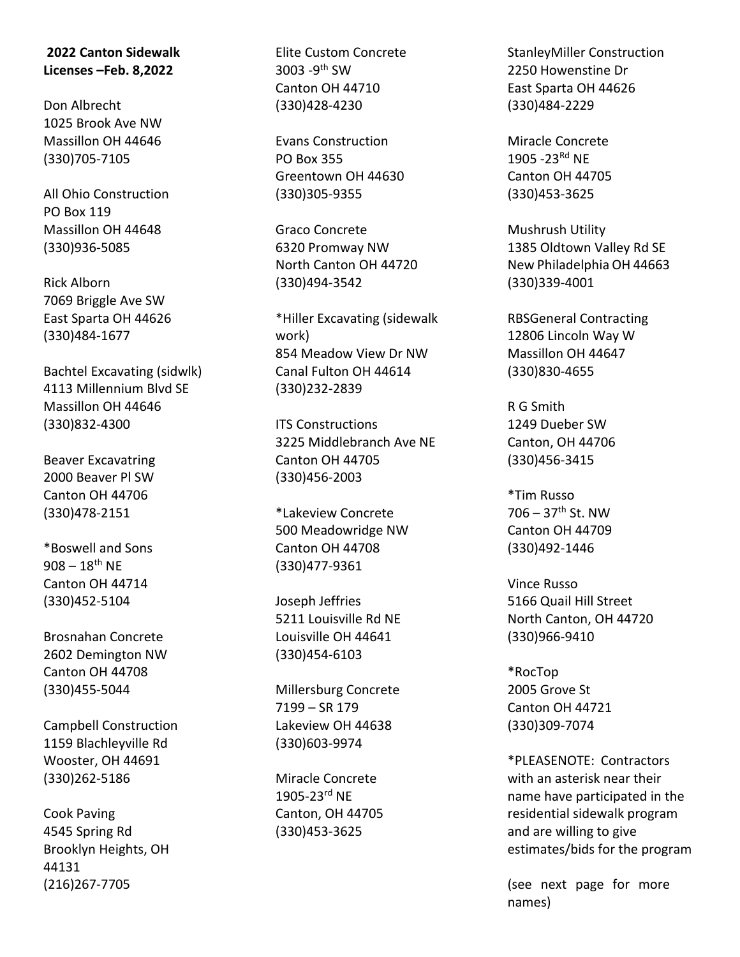## **2022 Canton Sidewalk Licenses –Feb. 8,2022**

Don Albrecht 1025 Brook Ave NW Massillon OH 44646 (330)705-7105

All Ohio Construction PO Box 119 Massillon OH 44648 (330)936-5085

Rick Alborn 7069 Briggle Ave SW East Sparta OH 44626 (330)484-1677

Bachtel Excavating (sidwlk) 4113 Millennium Blvd SE Massillon OH 44646 (330)832-4300

Beaver Excavatring 2000 Beaver Pl SW Canton OH 44706 (330)478-2151

\*Boswell and Sons  $908 - 18$ <sup>th</sup> NE Canton OH 44714 (330)452-5104

Brosnahan Concrete 2602 Demington NW Canton OH 44708 (330)455-5044

Campbell Construction 1159 Blachleyville Rd Wooster, OH 44691 (330)262-5186

Cook Paving 4545 Spring Rd Brooklyn Heights, OH 44131 (216)267-7705

Elite Custom Concrete 3003 -9<sup>th</sup> SW Canton OH 44710 (330)428-4230

Evans Construction PO Box 355 Greentown OH 44630 (330)305-9355

Graco Concrete 6320 Promway NW North Canton OH 44720 (330)494-3542

\*Hiller Excavating (sidewalk work) 854 Meadow View Dr NW Canal Fulton OH 44614 (330)232-2839

ITS Constructions 3225 Middlebranch Ave NE Canton OH 44705 (330)456-2003

\*Lakeview Concrete 500 Meadowridge NW Canton OH 44708 (330)477-9361

Joseph Jeffries 5211 Louisville Rd NE Louisville OH 44641 (330)454-6103

Millersburg Concrete 7199 – SR 179 Lakeview OH 44638 (330)603-9974

Miracle Concrete 1905-23rd NE Canton, OH 44705 (330)453-3625

StanleyMiller Construction 2250 Howenstine Dr East Sparta OH 44626 (330)484-2229

Miracle Concrete 1905 -23Rd NE Canton OH 44705 (330)453-3625

Mushrush Utility 1385 Oldtown Valley Rd SE New Philadelphia OH 44663 (330)339-4001

RBSGeneral Contracting 12806 Lincoln Way W Massillon OH 44647 (330)830-4655

R G Smith 1249 Dueber SW Canton, OH 44706 (330)456-3415

\*Tim Russo 706 – 37th St. NW Canton OH 44709 (330)492-1446

Vince Russo 5166 Quail Hill Street North Canton, OH 44720 (330)966-9410

\*RocTop 2005 Grove St Canton OH 44721 (330)309-7074

\*PLEASENOTE: Contractors with an asterisk near their name have participated in the residential sidewalk program and are willing to give estimates/bids for the program

(see next page for more names)